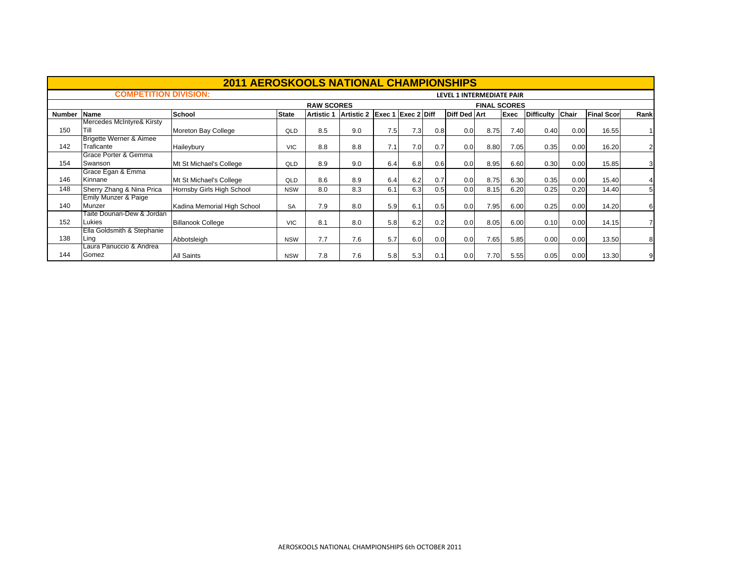|               |                                    | <b>2011 AEROSKOOLS NATIONAL CHAMPIONSHIPS</b> |              |                   |                   |        |                    |     |                           |                     |             |                   |              |                   |      |
|---------------|------------------------------------|-----------------------------------------------|--------------|-------------------|-------------------|--------|--------------------|-----|---------------------------|---------------------|-------------|-------------------|--------------|-------------------|------|
|               | <b>COMPETITION DIVISION:</b>       |                                               |              |                   |                   |        |                    |     | LEVEL 1 INTERMEDIATE PAIR |                     |             |                   |              |                   |      |
|               |                                    |                                               |              | <b>RAW SCORES</b> |                   |        |                    |     |                           | <b>FINAL SCORES</b> |             |                   |              |                   |      |
| <b>Number</b> | Name                               | School                                        | <b>State</b> | <b>Artistic 1</b> | <b>Artistic 2</b> | Exec 1 | <b>Exec 2 Diff</b> |     | <b>Diff Ded Art</b>       |                     | <b>Exec</b> | <b>Difficulty</b> | <b>Chair</b> | <b>Final Scor</b> | Rank |
|               | Mercedes McIntyre& Kirsty          |                                               |              |                   |                   |        |                    |     |                           |                     |             |                   |              |                   |      |
| 150           | Till                               | Moreton Bay College                           | QLD          | 8.5               | 9.0               | 7.5    | 7.3                | 0.8 | 0.0                       | 8.75                | 7.40        | 0.40              | 0.00         | 16.55             |      |
|               | <b>Brigette Werner &amp; Aimee</b> |                                               |              |                   |                   |        |                    |     |                           |                     |             |                   |              |                   |      |
| 142           | Traficante                         | Haileybury                                    | <b>VIC</b>   | 8.8               | 8.8               | 7.1    | 7.0                | 0.7 | 0.0                       | 8.80                | 7.05        | 0.35              | 0.00         | 16.20             | 2    |
|               | Grace Porter & Gemma               |                                               |              |                   |                   |        |                    |     |                           |                     |             |                   |              |                   |      |
| 154           | Swanson                            | Mt St Michael's College                       | QLD          | 8.9               | 9.0               | 6.4    | 6.8                | 0.6 | 0.0                       | 8.95                | 6.60        | 0.30              | 0.00         | 15.85             | 3    |
|               | Grace Egan & Emma                  |                                               |              |                   |                   |        |                    |     |                           |                     |             |                   |              |                   |      |
| 146           | Kinnane                            | Mt St Michael's College                       | QLD          | 8.6               | 8.9               | 6.4    | 6.2                | 0.7 | 0.0                       | 8.75                | 6.30        | 0.35              | 0.00         | 15.40             | 4    |
| 148           | Sherry Zhang & Nina Prica          | Hornsby Girls High School                     | <b>NSW</b>   | 8.0               | 8.3               | 6.1    | 6.3                | 0.5 | 0.0                       | 8.15                | 6.20        | 0.25              | 0.20         | 14.40             | 5    |
|               | Emily Munzer & Paige               |                                               |              |                   |                   |        |                    |     |                           |                     |             |                   |              |                   |      |
| 140           | Munzer                             | Kadina Memorial High School                   | <b>SA</b>    | 7.9               | 8.0               | 5.9    | 6.1                | 0.5 | 0.0                       | 7.95                | 6.00        | 0.25              | 0.00         | 14.20             | 6    |
|               | Taite Dounan-Dew & Jordan          |                                               |              |                   |                   |        |                    |     |                           |                     |             |                   |              |                   |      |
| 152           | Lukies                             | <b>Billanook College</b>                      | <b>VIC</b>   | 8.1               | 8.0               | 5.8    | 6.2                | 0.2 | 0.0                       | 8.05                | 6.00        | 0.10              | 0.00         | 14.15             |      |
|               | Ella Goldsmith & Stephanie         |                                               |              |                   |                   |        |                    |     |                           |                     |             |                   |              |                   |      |
| 138           | Ling                               | Abbotsleigh                                   | <b>NSW</b>   | 7.7               | 7.6               | 5.7    | 6.0                | 0.0 | 0.0                       | 7.65                | 5.85        | 0.00              | 0.00         | 13.50             | 8    |
|               | Laura Panuccio & Andrea            |                                               |              |                   |                   |        |                    |     |                           |                     |             |                   |              |                   |      |
| 144           | Gomez                              | <b>All Saints</b>                             | <b>NSW</b>   | 7.8               | 7.6               | 5.8    | 5.3                | 0.1 | 0.0                       | 7.70                | 5.55        | 0.05              | 0.00         | 13.30             | 9    |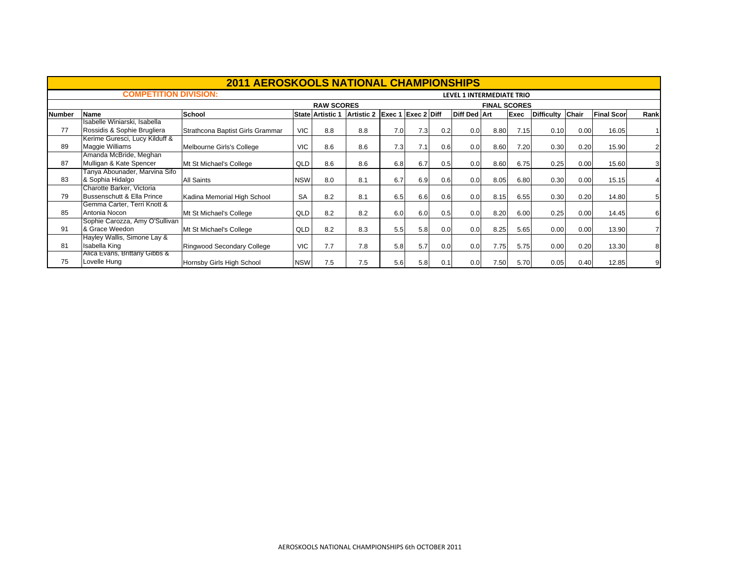|               |                                                             | <b>2011 AEROSKOOLS NATIONAL CHAMPIONSHIPS</b> |            |                         |                   |        |             |     |                           |                     |      |                   |              |                   |      |
|---------------|-------------------------------------------------------------|-----------------------------------------------|------------|-------------------------|-------------------|--------|-------------|-----|---------------------------|---------------------|------|-------------------|--------------|-------------------|------|
|               | <b>COMPETITION DIVISION:</b>                                |                                               |            |                         |                   |        |             |     | LEVEL 1 INTERMEDIATE TRIO |                     |      |                   |              |                   |      |
|               |                                                             |                                               |            | <b>RAW SCORES</b>       |                   |        |             |     |                           | <b>FINAL SCORES</b> |      |                   |              |                   |      |
| <b>Number</b> | <b>Name</b>                                                 | School                                        |            | <b>State Artistic 1</b> | <b>Artistic 2</b> | Exec 1 | Exec 2 Diff |     | <b>Diff Ded Art</b>       |                     | Exec | <b>Difficulty</b> | <b>Chair</b> | <b>Final Scor</b> | Rank |
| 77            | Isabelle Winiarski, Isabella<br>Rossidis & Sophie Brugliera | Strathcona Baptist Girls Grammar              | <b>VIC</b> | 8.8                     | 8.8               | 7.0    | 7.3         | 0.2 | 0.0                       | 8.80                | 7.15 | 0.10              | 0.00         | 16.05             |      |
| 89            | Kerime Guresci, Lucy Kilduff &<br>Maggie Williams           | Melbourne Girls's College                     | <b>VIC</b> | 8.6                     | 8.6               | 7.31   | 7.1         | 0.6 | 0.0                       | 8.60                | 7.20 | 0.30              | 0.20         | 15.90             | 2    |
| 87            | Amanda McBride, Meghan<br>Mulligan & Kate Spencer           | Mt St Michael's College                       | QLD        | 8.6                     | 8.6               | 6.8    | 6.7         | 0.5 | 0.0 <sub>l</sub>          | 8.60                | 6.75 | 0.25              | 0.00         | 15.60             | 3    |
| 83            | Tanya Abounader, Marvina Sifo<br>& Sophia Hidalgo           | <b>All Saints</b>                             | <b>NSW</b> | 8.0                     | 8.1               | 6.7    | 6.9         | 0.6 | 0.0 <sub>l</sub>          | 8.05                | 6.80 | 0.30              | 0.00         | 15.15             | 4    |
| 79            | Charotte Barker, Victoria<br>Bussenschutt & Ella Prince     | Kadina Memorial High School                   | <b>SA</b>  | 8.2                     | 8.1               | 6.5    | 6.6         | 0.6 | 0.0 <sub>l</sub>          | 8.15                | 6.55 | 0.30              | 0.20         | 14.80             |      |
| 85            | Gemma Carter, Terri Knott &<br>Antonia Nocon                | Mt St Michael's College                       | QLD        | 8.2                     | 8.2               | 6.0    | 6.0         | 0.5 | 0.0 <sub>1</sub>          | 8.20                | 6.00 | 0.25              | 0.00         | 14.45             | 6    |
| 91            | Sophie Carozza, Amy O'Sullivan<br>& Grace Weedon            | Mt St Michael's College                       | QLD        | 8.2                     | 8.3               | 5.5    | 5.8         | 0.0 | 0.0                       | 8.25                | 5.65 | 0.00              | 0.00         | 13.90             |      |
| 81            | Hayley Wallis, Simone Lay &<br>Isabella King                | <b>Ringwood Secondary College</b>             | <b>VIC</b> | 7.7                     | 7.8               | 5.8    | 5.7         | 0.0 | 0.0 <sub>l</sub>          | 7.75                | 5.75 | 0.00              | 0.20         | 13.30             | 8    |
| 75            | Alica Evans, Brittany Gibbs &<br>Lovelle Hung               | Hornsby Girls High School                     | <b>NSW</b> | 7.5                     | 7.5               | 5.6    | 5.8         | 0.1 | 0.0                       | 7.50                | 5.70 | 0.05              | 0.40         | 12.85             | 9    |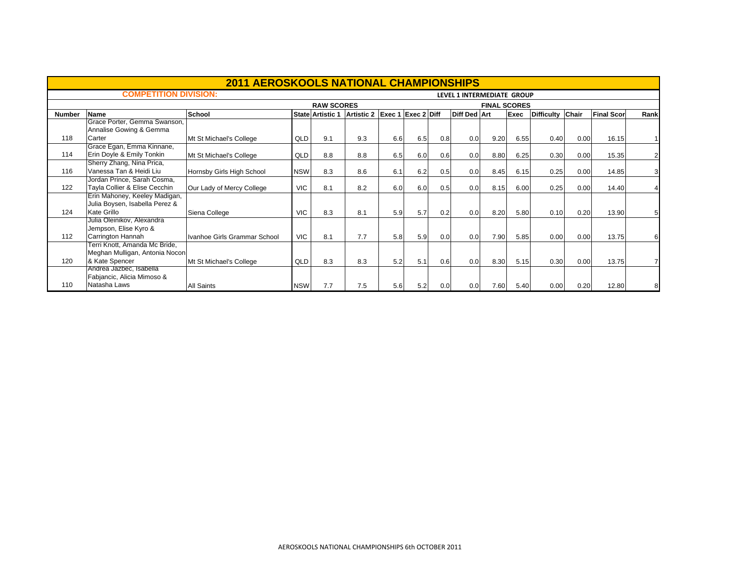|               |                                | <b>2011 AEROSKOOLS NATIONAL CHAMPIONSHIPS</b> |            |                         |                   |                    |     |     |                            |                     |      |                   |       |                   |                |
|---------------|--------------------------------|-----------------------------------------------|------------|-------------------------|-------------------|--------------------|-----|-----|----------------------------|---------------------|------|-------------------|-------|-------------------|----------------|
|               | <b>COMPETITION DIVISION:</b>   |                                               |            |                         |                   |                    |     |     | LEVEL 1 INTERMEDIATE GROUP |                     |      |                   |       |                   |                |
|               |                                |                                               |            | <b>RAW SCORES</b>       |                   |                    |     |     |                            | <b>FINAL SCORES</b> |      |                   |       |                   |                |
| <b>Number</b> | <b>Name</b>                    | <b>School</b>                                 |            | <b>State Artistic 1</b> | <b>Artistic 2</b> | Exec 1 Exec 2 Diff |     |     | Diff Ded Art               |                     | Exec | <b>Difficulty</b> | Chair | <b>Final Scor</b> | Rank           |
|               | Grace Porter, Gemma Swanson,   |                                               |            |                         |                   |                    |     |     |                            |                     |      |                   |       |                   |                |
|               | Annalise Gowing & Gemma        |                                               |            |                         |                   |                    |     |     |                            |                     |      |                   |       |                   |                |
| 118           | Carter                         | Mt St Michael's College                       | QLD        | 9.1                     | 9.3               | 6.6                | 6.5 | 0.8 | 0.0                        | 9.20                | 6.55 | 0.40              | 0.00  | 16.15             |                |
|               | Grace Egan, Emma Kinnane,      |                                               |            |                         |                   |                    |     |     |                            |                     |      |                   |       |                   |                |
| 114           | Erin Doyle & Emily Tonkin      | Mt St Michael's College                       | QLD        | 8.8                     | 8.8               | 6.5                | 6.0 | 0.6 | 0.0                        | 8.80                | 6.25 | 0.30              | 0.00  | 15.35             | $\overline{2}$ |
|               | Sherry Zhang, Nina Prica,      |                                               |            |                         |                   |                    |     |     |                            |                     |      |                   |       |                   |                |
| 116           | Vanessa Tan & Heidi Liu        | Hornsby Girls High School                     | <b>NSW</b> | 8.3                     | 8.6               | 6.1                | 6.2 | 0.5 | 0.0                        | 8.45                | 6.15 | 0.25              | 0.00  | 14.85             | 3              |
|               | Jordan Prince, Sarah Cosma,    |                                               |            |                         |                   |                    |     |     |                            |                     |      |                   |       |                   |                |
| 122           | Tayla Collier & Elise Cecchin  | Our Lady of Mercy College                     | <b>VIC</b> | 8.1                     | 8.2               | 6.0                | 6.0 | 0.5 | 0.0                        | 8.15                | 6.00 | 0.25              | 0.00  | 14.40             |                |
|               | Erin Mahoney, Keeley Madigan,  |                                               |            |                         |                   |                    |     |     |                            |                     |      |                   |       |                   |                |
|               | Julia Boysen, Isabella Perez & |                                               |            |                         |                   |                    |     |     |                            |                     |      |                   |       |                   |                |
| 124           | Kate Grillo                    | Siena College                                 | <b>VIC</b> | 8.3                     | 8.1               | 5.9                | 5.7 | 0.2 | 0.0                        | 8.20                | 5.80 | 0.10              | 0.20  | 13.90             | 5              |
|               | Julia Oleinikov, Alexandra     |                                               |            |                         |                   |                    |     |     |                            |                     |      |                   |       |                   |                |
|               | Jempson, Elise Kyro &          |                                               |            |                         |                   |                    |     |     |                            |                     |      |                   |       |                   |                |
| 112           | Carrington Hannah              | Ivanhoe Girls Grammar School                  | <b>VIC</b> | 8.1                     | 7.7               | 5.8                | 5.9 | 0.0 | 0.0                        | 7.90                | 5.85 | 0.00              | 0.00  | 13.75             | 6              |
|               | Ferri Knott, Amanda Mc Bride,  |                                               |            |                         |                   |                    |     |     |                            |                     |      |                   |       |                   |                |
|               | Meghan Mulligan, Antonia Nocon |                                               |            |                         |                   |                    |     |     |                            |                     |      |                   |       |                   |                |
| 120           | & Kate Spencer                 | Mt St Michael's College                       | QLD        | 8.3                     | 8.3               | 5.2                | 5.1 | 0.6 | 0.0                        | 8.30                | 5.15 | 0.30              | 0.00  | 13.75             |                |
|               | Andrea Jazbec, Isabella        |                                               |            |                         |                   |                    |     |     |                            |                     |      |                   |       |                   |                |
|               | Fabjancic, Alicia Mimoso &     |                                               |            |                         |                   |                    |     |     |                            |                     |      |                   |       |                   |                |
| 110           | Natasha Laws                   | <b>All Saints</b>                             | <b>NSW</b> | 7.7                     | 7.5               | 5.6                | 5.2 | 0.0 | 0.0                        | 7.60                | 5.40 | 0.00              | 0.20  | 12.80             |                |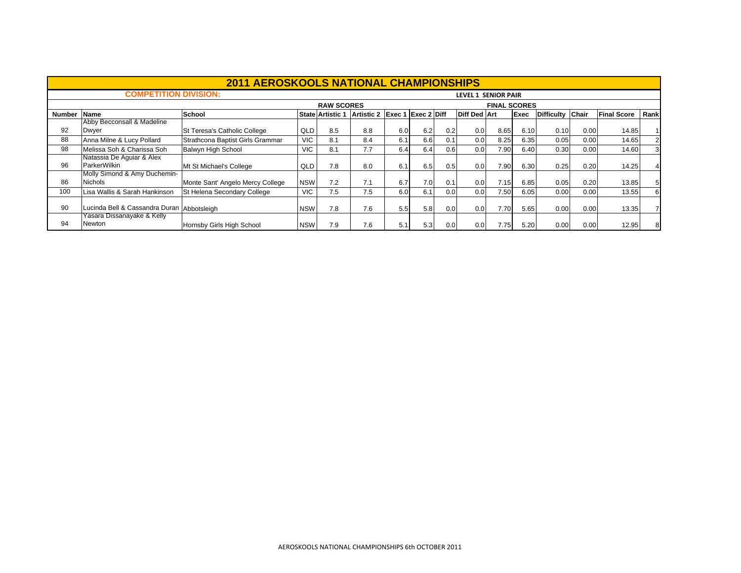|               |                                            | <b>2011 AEROSKOOLS NATIONAL CHAMPIONSHIPS</b> |            |                       |                   |     |                           |     |                     |                     |             |                   |       |                    |      |
|---------------|--------------------------------------------|-----------------------------------------------|------------|-----------------------|-------------------|-----|---------------------------|-----|---------------------|---------------------|-------------|-------------------|-------|--------------------|------|
|               | <b>COMPETITION DIVISION:</b>               |                                               |            |                       |                   |     |                           |     | LEVEL 1 SENIOR PAIR |                     |             |                   |       |                    |      |
|               |                                            |                                               |            | <b>RAW SCORES</b>     |                   |     |                           |     |                     | <b>FINAL SCORES</b> |             |                   |       |                    |      |
| <b>Number</b> | <b>Name</b>                                | School                                        |            | <b>State Artistic</b> | <b>Artistic 2</b> |     | <b>Exec 1 Exec 2 Diff</b> |     | <b>Diff Ded Art</b> |                     | <b>Exec</b> | <b>Difficulty</b> | Chair | <b>Final Score</b> | Rank |
|               | Abby Becconsall & Madeline                 |                                               |            |                       |                   |     |                           |     |                     |                     |             |                   |       |                    |      |
| 92            | Dwyer                                      | St Teresa's Catholic College                  | QLD        | 8.5                   | 8.8               | 6.0 | 6.2                       | 0.2 | 0.0                 | 8.65                | 6.10        | 0.10              | 0.00  | 14.85              |      |
| 88            | Anna Milne & Lucy Pollard                  | Strathcona Baptist Girls Grammar              | <b>VIC</b> | 8.1                   | 8.4               | 6.1 | 6.6                       | 0.1 | 0.0                 | 8.25                | 6.35        | 0.05              | 0.00  | 14.65              |      |
| 98            | Melissa Soh & Charissa Soh                 | Balwyn High School                            | <b>VIC</b> | 8.1                   | 7.7               | 6.4 | 6.4                       | 0.6 | 0.0                 | 7.90                | 6.40        | 0.30              | 0.00  | 14.60              |      |
|               | Natassia De Aguiar & Alex                  |                                               |            |                       |                   |     |                           |     |                     |                     |             |                   |       |                    |      |
| 96            | ParkerWilkin                               | Mt St Michael's College                       | <b>QLD</b> | 7.8                   | 8.0               | 6.1 | 6.5                       | 0.5 | 0.0                 | 7.90                | 6.30        | 0.25              | 0.20  | 14.25              |      |
|               | Molly Simond & Amy Duchemin-               |                                               |            |                       |                   |     |                           |     |                     |                     |             |                   |       |                    |      |
| 86            | Nichols                                    | Monte Sant' Angelo Mercy College              | <b>NSW</b> | 7.2                   | 7.1               | 6.7 | 7.0                       | 0.1 | 0.0                 | 7.15                | 6.85        | 0.05              | 0.20  | 13.85              |      |
| 100           | Lisa Wallis & Sarah Hankinson              | St Helena Secondary College                   | VIC        | 7.5                   | 7.5               | 6.0 | 6.1                       | 0.0 | 0.0                 | 7.50                | 6.05        | 0.00              | 0.00  | 13.55              |      |
|               |                                            |                                               |            |                       |                   |     |                           |     |                     |                     |             |                   |       |                    |      |
| 90            | Lucinda Bell & Cassandra Duran Abbotsleigh |                                               | <b>NSW</b> | 7.8                   | 7.6               | 5.5 | 5.8                       | 0.0 | 0.0                 | 7.70                | 5.65        | 0.00              | 0.00  | 13.35              |      |
|               | 'asara Dissanayake & Kelly                 |                                               |            |                       |                   |     |                           |     |                     |                     |             |                   |       |                    |      |
| 94            | Newton                                     | Hornsby Girls High School                     | <b>NSW</b> | 7.9                   | 7.6               | 5.1 | 5.3                       | 0.0 | 0.0                 | 7.75                | 5.20        | 0.00              | 0.00  | 12.95              |      |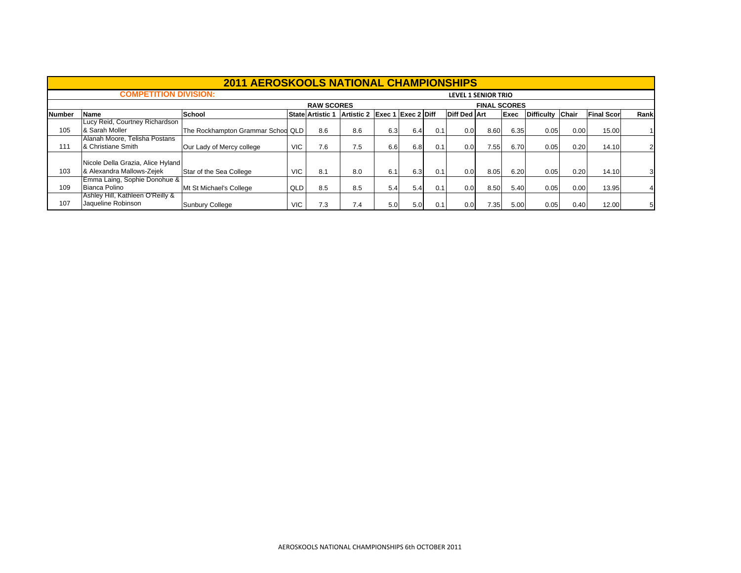|               |                                                                | <b>2011 AEROSKOOLS NATIONAL CHAMPIONSHIPS</b> |            |                    |            |                    |     |     |                            |                     |      |                  |      |                   |      |
|---------------|----------------------------------------------------------------|-----------------------------------------------|------------|--------------------|------------|--------------------|-----|-----|----------------------------|---------------------|------|------------------|------|-------------------|------|
|               | <b>COMPETITION DIVISION:</b>                                   |                                               |            |                    |            |                    |     |     | <b>LEVEL 1 SENIOR TRIO</b> |                     |      |                  |      |                   |      |
|               |                                                                |                                               |            | <b>RAW SCORES</b>  |            |                    |     |     |                            | <b>FINAL SCORES</b> |      |                  |      |                   |      |
| <b>Number</b> | <b>Name</b>                                                    | School                                        |            | l State Artistic 1 | Artistic 2 | Exec 1 Exec 2 Diff |     |     | <b>Diff Ded Art</b>        |                     | Exec | Difficulty Chair |      | <b>Final Scor</b> | Rank |
| 105           | Lucy Reid, Courtney Richardson<br>& Sarah Moller               | The Rockhampton Grammar Schoo QLD             |            | 8.6                | 8.6        | 6.3                | 6.4 | 0.1 | 0.0 <sub>l</sub>           | 8.60                | 6.35 | 0.05             | 0.00 | 15.00             |      |
| 111           | Alanah Moore. Telisha Postans<br>& Christiane Smith            | Our Lady of Mercy college                     | <b>VIC</b> | 7.6                | 7.5        | 6.6                | 6.8 | 0.1 | 0.0 <sub>l</sub>           | 7.55                | 6.70 | 0.05             | 0.20 | 14.10             |      |
| 103           | Nicole Della Grazia, Alice Hyland<br>& Alexandra Mallows-Zejek | Star of the Sea College                       | <b>VIC</b> | 8.1                | 8.0        | 6.1                | 6.3 | 0.1 | 0.0 <sub>l</sub>           | 8.05                | 6.20 | 0.05             | 0.20 | 14.10             | 3    |
| 109           | Emma Laing, Sophie Donohue &<br>Bianca Polino                  | Mt St Michael's College                       | QLD        | 8.5                | 8.5        | 5.4                | 5.4 | 0.1 | 0.0 <sub>l</sub>           | 8.50                | 5.40 | 0.05             | 0.00 | 13.95             |      |
| 107           | TAshley Hill, Kathleen O'Reilly &<br>Jaqueline Robinson        | <b>Sunbury College</b>                        | VIC.       | 7.3                | 7.4        | 5.0                | 5.0 | 0.1 | 0.01                       | 7.35                | 5.00 | 0.05             | 0.40 | 12.00             |      |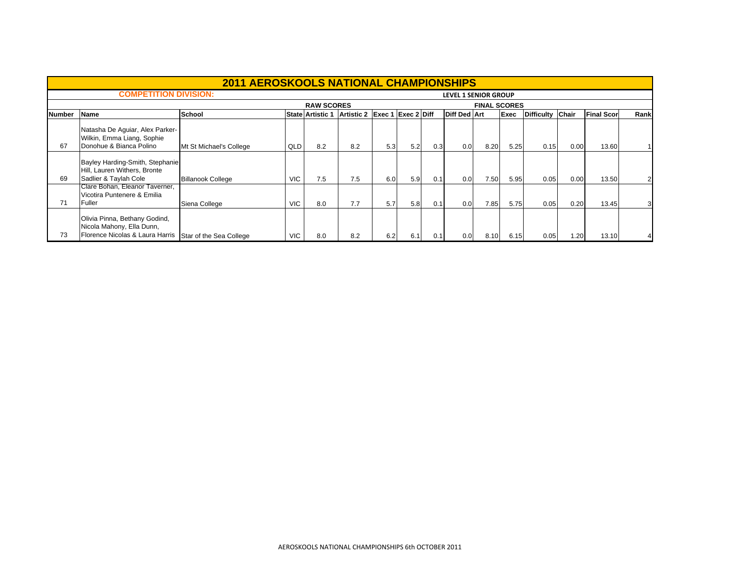|               |                                                                                               | <b>2011 AEROSKOOLS NATIONAL CHAMPIONSHIPS</b> |            |                         |                               |     |     |     |                             |                     |      |                  |      |                    |      |
|---------------|-----------------------------------------------------------------------------------------------|-----------------------------------------------|------------|-------------------------|-------------------------------|-----|-----|-----|-----------------------------|---------------------|------|------------------|------|--------------------|------|
|               | <b>COMPETITION DIVISION:</b>                                                                  |                                               |            |                         |                               |     |     |     | <b>LEVEL 1 SENIOR GROUP</b> |                     |      |                  |      |                    |      |
|               |                                                                                               |                                               |            | <b>RAW SCORES</b>       |                               |     |     |     |                             | <b>FINAL SCORES</b> |      |                  |      |                    |      |
| <b>Number</b> | <b>Name</b>                                                                                   | School                                        |            | <b>State Artistic 1</b> | Artistic 2 Exec 1 Exec 2 Diff |     |     |     | <b>Diff Ded Art</b>         |                     | Exec | Difficulty Chair |      | <b>Final Score</b> | Rank |
| 67            | Natasha De Aguiar, Alex Parker-<br>Wilkin, Emma Liang, Sophie<br>Donohue & Bianca Polino      | Mt St Michael's College                       | QLD        | 8.2                     | 8.2                           | 5.3 | 5.2 | 0.3 | 0.0                         | 8.20                | 5.25 | 0.15             | 0.00 | 13.60              |      |
| 69            | Bayley Harding-Smith, Stephanie<br>Hill, Lauren Withers, Bronte<br>Sadlier & Taylah Cole      | <b>Billanook College</b>                      | <b>VIC</b> | 7.5                     | 7.5                           | 6.0 | 5.9 | 0.1 | 0.0                         | 7.50                | 5.95 | 0.05             | 0.00 | 13.50              |      |
| 71            | Clare Bohan, Eleanor Taverner,<br>Vicotira Puntenere & Emilia<br>Fuller                       | Siena College                                 | <b>VIC</b> | 8.0                     | 7.7                           | 5.7 | 5.8 | 0.1 | 0.0                         | 7.85                | 5.75 | 0.05             | 0.20 | 13.45              | 3    |
| 73            | Olivia Pinna, Bethany Godind,<br>Nicola Mahony, Ella Dunn,<br>Florence Nicolas & Laura Harris | Star of the Sea College                       | <b>VIC</b> | 8.0                     | 8.2                           | 6.2 | 6.1 | 0.1 | 0.0                         | 8.10                | 6.15 | 0.05             | 1.20 | 13.10              |      |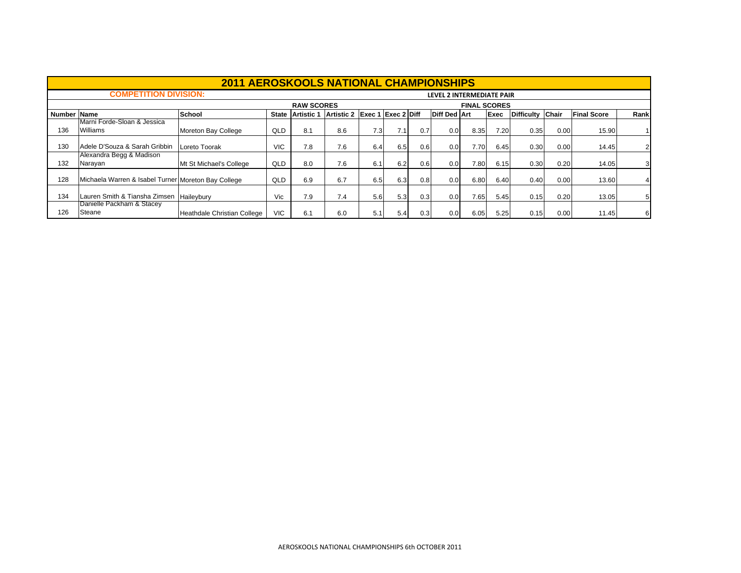|             |                                                     | <b>2011 AEROSKOOLS NATIONAL CHAMPIONSHIPS</b> |              |                   |                   |        |             |     |                           |                     |             |                  |      |                    |      |
|-------------|-----------------------------------------------------|-----------------------------------------------|--------------|-------------------|-------------------|--------|-------------|-----|---------------------------|---------------------|-------------|------------------|------|--------------------|------|
|             | <b>COMPETITION DIVISION:</b>                        |                                               |              |                   |                   |        |             |     | LEVEL 2 INTERMEDIATE PAIR |                     |             |                  |      |                    |      |
|             |                                                     |                                               |              | <b>RAW SCORES</b> |                   |        |             |     |                           | <b>FINAL SCORES</b> |             |                  |      |                    |      |
| Number Name |                                                     | School                                        | <b>State</b> | <b>Artistic 1</b> | <b>Artistic 2</b> | Exec 1 | Exec 2 Diff |     | <b>Diff Ded Art</b>       |                     | <b>Exec</b> | Difficulty Chair |      | <b>Final Score</b> | Rank |
| 136         | Marni Forde-Sloan & Jessica<br>Williams             | Moreton Bay College                           | QLD          | 8.1               | 8.6               | 7.3    | 7.1         | 0.7 | 0.0                       | 8.35                | 7.20        | 0.35             | 0.00 | 15.90              |      |
| 130         | Adele D'Souza & Sarah Gribbin                       | Loreto Toorak                                 | <b>VIC</b>   | 7.8               | 7.6               | 6.4    | 6.5         | 0.6 | 0.0                       | 7.70                | 6.45        | 0.30             | 0.00 | 14.45              |      |
| 132         | Alexandra Begg & Madison<br>Narayan                 | Mt St Michael's College                       | QLD          | 8.0               | 7.6               | 6.1    | 6.2         | 0.6 | 0.0                       | 7.80                | 6.15        | 0.30             | 0.20 | 14.05              | 3    |
| 128         | Michaela Warren & Isabel Turner Moreton Bay College |                                               | QLD          | 6.9               | 6.7               | 6.5    | 6.3         | 0.8 | 0.0                       | 6.80                | 6.40        | 0.40             | 0.00 | 13.60              |      |
| 134         | Lauren Smith & Tiansha Zimsen Haileybury            |                                               | Vic          | 7.9               | 7.4               | 5.6    | 5.3         | 0.3 | 0.0                       | 7.65                | 5.45        | 0.15             | 0.20 | 13.05              | 5    |
| 126         | Danielle Packham & Stacey<br>Steane                 | Heathdale Christian College                   | VIC.         | 6.1               | 6.0               | 5.1    | 5.4         | 0.3 | 0.0                       | 6.05                | 5.25        | 0.15             | 0.00 | 11.45              | 6    |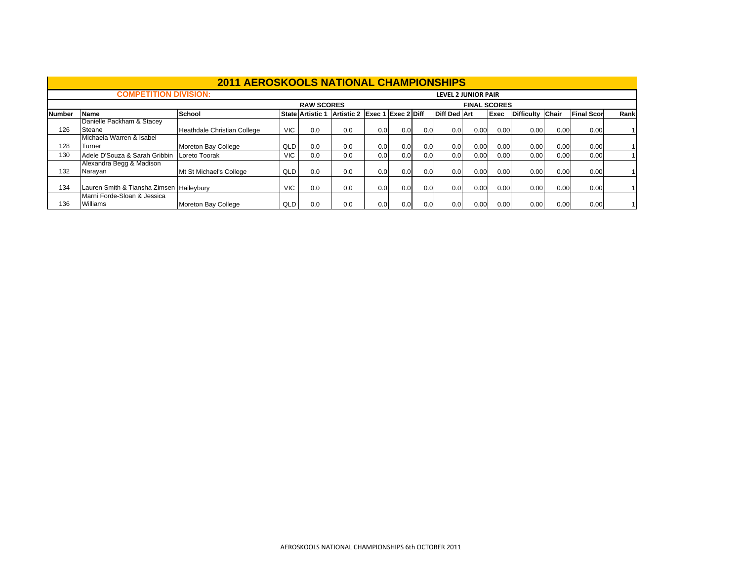|               |                                          | <b>2011 AEROSKOOLS NATIONAL CHAMPIONSHIPS</b> |            |                         |                               |     |     |     |                            |                     |             |                  |      |                   |      |
|---------------|------------------------------------------|-----------------------------------------------|------------|-------------------------|-------------------------------|-----|-----|-----|----------------------------|---------------------|-------------|------------------|------|-------------------|------|
|               | <b>COMPETITION DIVISION:</b>             |                                               |            |                         |                               |     |     |     | <b>LEVEL 2 JUNIOR PAIR</b> |                     |             |                  |      |                   |      |
|               |                                          |                                               |            | <b>RAW SCORES</b>       |                               |     |     |     |                            | <b>FINAL SCORES</b> |             |                  |      |                   |      |
| <b>Number</b> | <b>Name</b>                              | School                                        |            | <b>State Artistic 1</b> | Artistic 2 Exec 1 Exec 2 Diff |     |     |     | <b>Diff Ded Art</b>        |                     | <b>Exec</b> | Difficulty Chair |      | <b>Final Scor</b> | Rank |
| 126           | Danielle Packham & Stacey<br>Steane      | Heathdale Christian College                   | <b>VIC</b> | 0.0                     | 0.0                           | 0.0 | 0.0 | 0.0 | 0.0 <sub>l</sub>           | 0.00                | 0.00        | 0.00             | 0.00 | 0.00              |      |
| 128           | Michaela Warren & Isabel<br>Turner       | Moreton Bay College                           | QLD        | 0.0                     | 0.0                           | 0.0 | 0.0 | 0.0 | 0.0                        | 0.00                | 0.00        | 0.00             | 0.00 | 0.00              |      |
| 130           | Adele D'Souza & Sarah Gribbin            | Loreto Toorak                                 | VIC.       | 0.0                     | 0.0                           | 0.0 | 0.0 | 0.0 | 0.0                        | 0.00                | 0.00        | 0.00             | 0.00 | 0.00              |      |
| 132           | Alexandra Begg & Madison<br>Narayan      | Mt St Michael's College                       | QLD        | 0.0                     | 0.0                           | 0.0 | 0.0 | 0.0 | 0.0                        | 0.00                | 0.00        | 0.00             | 0.00 | 0.00              |      |
| 134           | Lauren Smith & Tiansha Zimsen Haileybury |                                               | <b>VIC</b> | 0.0                     | 0.0                           | 0.0 | 0.0 | 0.0 | 0.0                        | 0.00                | 0.00        | 0.00             | 0.00 | 0.00              |      |
| 136           | Marni Forde-Sloan & Jessica<br>Williams  | Moreton Bay College                           | QLD        | 0.0                     | 0.0                           | 0.0 | 0.0 | 0.0 | 0.0                        | 0.00                | 0.00        | 0.00             | 0.00 | 0.00              |      |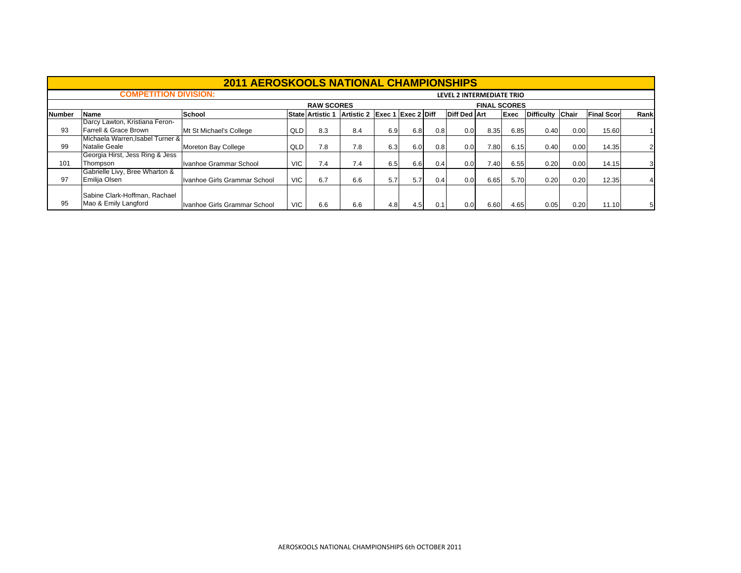|               |                                                       | <b>2011 AEROSKOOLS NATIONAL CHAMPIONSHIPS</b> |            |                         |                   |                           |     |     |                           |                     |      |                  |      |                   |      |
|---------------|-------------------------------------------------------|-----------------------------------------------|------------|-------------------------|-------------------|---------------------------|-----|-----|---------------------------|---------------------|------|------------------|------|-------------------|------|
|               | <b>COMPETITION DIVISION:</b>                          |                                               |            |                         |                   |                           |     |     | LEVEL 2 INTERMEDIATE TRIO |                     |      |                  |      |                   |      |
|               |                                                       |                                               |            | <b>RAW SCORES</b>       |                   |                           |     |     |                           | <b>FINAL SCORES</b> |      |                  |      |                   |      |
| <b>Number</b> | Name                                                  | School                                        |            | <b>State Artistic 1</b> | <b>Artistic 2</b> | <b>Exec 1 Exec 2 Diff</b> |     |     | <b>Diff Ded Art</b>       |                     | Exec | Difficulty Chair |      | <b>Final Scor</b> | Rank |
|               | Darcy Lawton, Kristiana Feron-                        |                                               |            |                         |                   |                           |     |     |                           |                     |      |                  |      |                   |      |
| 93            | Farrell & Grace Brown                                 | Mt St Michael's College                       | QLD        | 8.3                     | 8.4               | 6.9                       | 6.8 | 0.8 | 0.0                       | 8.35                | 6.85 | 0.40             | 0.00 | 15.60             |      |
|               | Michaela Warren.Isabel Turner &                       |                                               |            |                         |                   |                           |     |     |                           |                     |      |                  |      |                   |      |
| 99            | Natalie Geale                                         | Moreton Bay College                           | QLD        | 7.8                     | 7.8               | 6.3                       | 6.0 | 0.8 | 0.0                       | 7.80                | 6.15 | 0.40             | 0.00 | 14.35             |      |
|               | Georgia Hirst, Jess Ring & Jess                       |                                               |            |                         |                   |                           |     |     |                           |                     |      |                  |      |                   |      |
| 101           | Thompson                                              | Ivanhoe Grammar School                        | VIC.       | 7.4                     | 7.4               | 6.5                       | 6.6 | 0.4 | 0.0                       | 7.40                | 6.55 | 0.20             | 0.00 | 14.15             | 3    |
|               | Gabrielle Livy, Bree Wharton &                        |                                               |            |                         |                   |                           |     |     |                           |                     |      |                  |      |                   |      |
| 97            | Emilija Olsen                                         | Ivanhoe Girls Grammar School                  | <b>VIC</b> | 6.7                     | 6.6               | 5.7                       | 5.7 | 0.4 | 0.0                       | 6.65                | 5.70 | 0.20             | 0.20 | 12.35             |      |
| 95            | Sabine Clark-Hoffman, Rachael<br>Mao & Emily Langford | Ivanhoe Girls Grammar School                  | <b>VIC</b> | 6.6                     | 6.6               | 4.8                       | 4.5 | 0.1 | 0.0                       | 6.60                | 4.65 | 0.05             | 0.20 | 11.10             |      |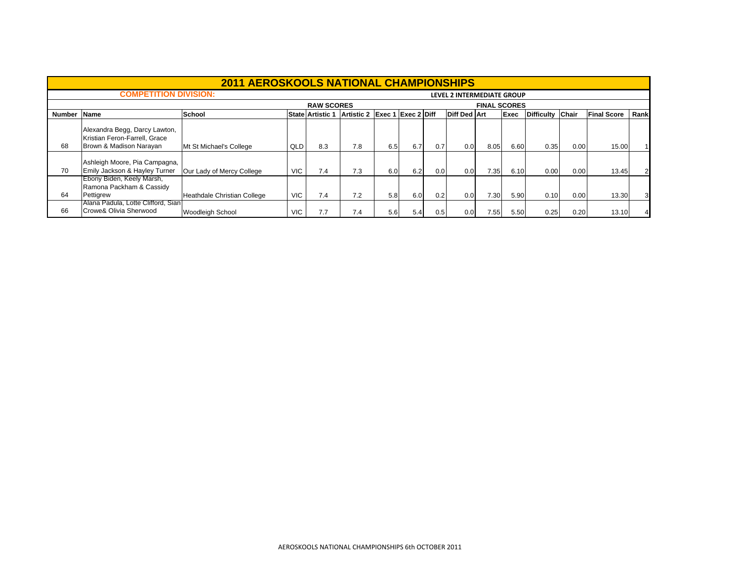|        |                                                                                           | <b>2011 AEROSKOOLS NATIONAL CHAMPIONSHIPS</b> |            |                      |                               |     |     |     |                            |                     |      |                  |      |                    |      |
|--------|-------------------------------------------------------------------------------------------|-----------------------------------------------|------------|----------------------|-------------------------------|-----|-----|-----|----------------------------|---------------------|------|------------------|------|--------------------|------|
|        | <b>COMPETITION DIVISION:</b>                                                              |                                               |            |                      |                               |     |     |     | LEVEL 2 INTERMEDIATE GROUP |                     |      |                  |      |                    |      |
|        |                                                                                           |                                               |            | <b>RAW SCORES</b>    |                               |     |     |     |                            | <b>FINAL SCORES</b> |      |                  |      |                    |      |
| Number | <b>Name</b>                                                                               | <b>School</b>                                 |            | l State l Artistic 1 | Artistic 2 Exec 1 Exec 2 Diff |     |     |     | <b>Diff Ded Art</b>        |                     | Exec | Difficulty Chair |      | <b>Final Score</b> | Rank |
| 68     | Alexandra Begg, Darcy Lawton,<br>Kristian Feron-Farrell, Grace<br>Brown & Madison Narayan | Mt St Michael's College                       | QLD        | 8.3                  | 7.8                           | 6.5 | 6.7 | 0.7 | 0.0                        | 8.05                | 6.60 | 0.35             | 0.00 | 15.00              |      |
| 70     | Ashleigh Moore, Pia Campagna,<br>Emily Jackson & Hayley Turner                            | Our Lady of Mercy College                     | <b>VIC</b> | 7.4                  | 7.3                           | 6.0 | 6.2 | 0.0 | 0.0                        | 7.35                | 6.10 | 0.00             | 0.00 | 13.45              |      |
| 64     | Ebony Biden, Keely Marsh,<br>Ramona Packham & Cassidy<br>Pettigrew                        | Heathdale Christian College                   | <b>VIC</b> | 7.4                  | 7.2                           | 5.8 | 6.0 | 0.2 | 0.0                        | 7.30                | 5.90 | 0.10             | 0.00 | 13.30              |      |
| 66     | [Alana Padula, Lotte Clifford, Sian]<br>Crowe& Olivia Sherwood                            | <b>Woodleigh School</b>                       | VIC.       | 7.7                  | 7.4                           | 5.6 | 5.4 | 0.5 | 0.0                        | 7.551               | 5.50 | 0.25             | 0.20 | 13.10              |      |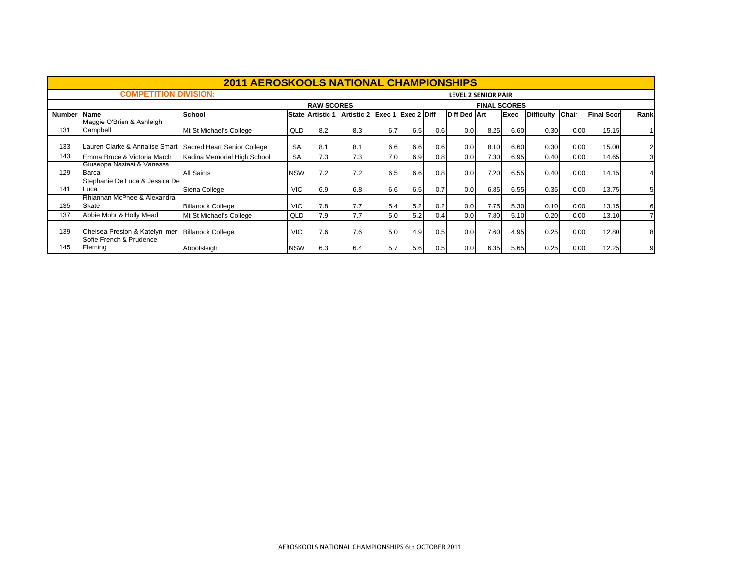|               |                                                           | <b>2011 AEROSKOOLS NATIONAL CHAMPIONSHIPS</b> |            |                         |                   |        |                    |     |                     |                            |             |                  |      |                   |                |
|---------------|-----------------------------------------------------------|-----------------------------------------------|------------|-------------------------|-------------------|--------|--------------------|-----|---------------------|----------------------------|-------------|------------------|------|-------------------|----------------|
|               | <b>COMPETITION DIVISION:</b>                              |                                               |            |                         |                   |        |                    |     |                     | <b>LEVEL 2 SENIOR PAIR</b> |             |                  |      |                   |                |
|               |                                                           |                                               |            | <b>RAW SCORES</b>       |                   |        |                    |     |                     | <b>FINAL SCORES</b>        |             |                  |      |                   |                |
| <b>Number</b> | Name                                                      | School                                        |            | <b>State Artistic 1</b> | <b>Artistic 2</b> | Exec 1 | <b>Exec 2 Diff</b> |     | <b>Diff Ded Art</b> |                            | <b>Exec</b> | Difficulty Chair |      | <b>Final Scor</b> | Rank           |
| 131           | Maggie O'Brien & Ashleigh<br>Campbell                     | Mt St Michael's College                       | QLD        | 8.2                     | 8.3               | 6.7    | 6.5                | 0.6 | 0.0                 | 8.25                       | 6.60        | 0.30             | 0.00 | 15.15             |                |
| 133           | Lauren Clarke & Annalise Smart                            | Sacred Heart Senior College                   | <b>SA</b>  | 8.1                     | 8.1               | 6.6    | 6.6                | 0.6 | 0.0                 | 8.10                       | 6.60        | 0.30             | 0.00 | 15.00             | $\overline{2}$ |
| 143           | Emma Bruce & Victoria March                               | Kadina Memorial High School                   | <b>SA</b>  | 7.3                     | 7.3               | 7.0    | 6.9                | 0.8 | 0.0                 | 7.30                       | 6.95        | 0.40             | 0.00 | 14.65             | 3              |
| 129           | Giuseppa Nastasi & Vanessa<br>Barca                       | <b>All Saints</b>                             | <b>NSW</b> | 7.2                     | 7.2               | 6.5    | 6.6                | 0.8 | 0.0                 | 7.20                       | 6.55        | 0.40             | 0.00 | 14.15             |                |
| 141           | Stephanie De Luca & Jessica De<br>Luca                    | Siena College                                 | <b>VIC</b> | 6.9                     | 6.8               | 6.6    | 6.5                | 0.7 | 0.0                 | 6.85                       | 6.55        | 0.35             | 0.00 | 13.75             | 5              |
| 135           | Rhiannan McPhee & Alexandra<br>Skate                      | <b>Billanook College</b>                      | <b>VIC</b> | 7.8                     | 7.7               | 5.4    | 5.2                | 0.2 | 0.0                 | 7.75                       | 5.30        | 0.10             | 0.00 | 13.15             | 6              |
| 137           | Abbie Mohr & Holly Mead                                   | Mt St Michael's College                       | QLD        | 7.9                     | 7.7               | 5.0    | 5.2                | 0.4 | 0.0                 | 7.80                       | 5.10        | 0.20             | 0.00 | 13.10             |                |
| 139           | Chelsea Preston & Katelyn Imer<br>Sofie French & Prudence | <b>Billanook College</b>                      | <b>VIC</b> | 7.6                     | 7.6               | 5.0    | 4.9                | 0.5 | 0.0                 | 7.60                       | 4.95        | 0.25             | 0.00 | 12.80             | 8              |
| 145           | Fleming                                                   | Abbotsleigh                                   | <b>NSW</b> | 6.3                     | 6.4               | 5.7    | 5.6                | 0.5 | 0.0                 | 6.35                       | 5.65        | 0.25             | 0.00 | 12.25             | 9              |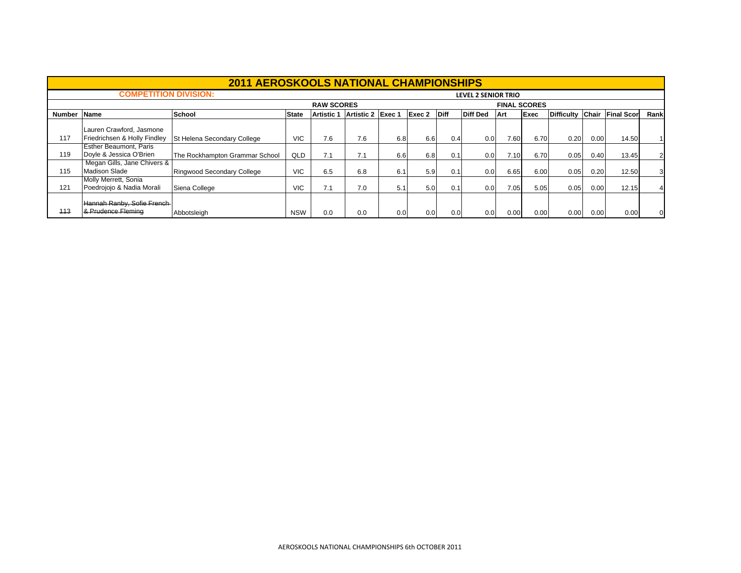|        |                                                          | <b>2011 AEROSKOOLS NATIONAL CHAMPIONSHIPS</b> |              |                   |                   |     |        |             |                            |      |                     |                   |       |                    |          |
|--------|----------------------------------------------------------|-----------------------------------------------|--------------|-------------------|-------------------|-----|--------|-------------|----------------------------|------|---------------------|-------------------|-------|--------------------|----------|
|        | <b>COMPETITION DIVISION:</b>                             |                                               |              |                   |                   |     |        |             | <b>LEVEL 2 SENIOR TRIO</b> |      |                     |                   |       |                    |          |
|        |                                                          |                                               |              | <b>RAW SCORES</b> |                   |     |        |             |                            |      | <b>FINAL SCORES</b> |                   |       |                    |          |
| Number | <b>Name</b>                                              | School                                        | <b>State</b> | <b>Artistic 1</b> | Artistic 2 Exec 1 |     | Exec 2 | <b>Diff</b> | <b>Diff Ded</b>            | Art  | Exec                | <b>Difficulty</b> | Chair | <b>Final Score</b> | Rank     |
| 117    | Lauren Crawford, Jasmone<br>Friedrichsen & Holly Findley | St Helena Secondary College                   | <b>VIC</b>   | 7.6               | 7.6               | 6.8 | 6.6    | 0.4         | 0.0                        | 7.60 | 6.70                | 0.20              | 0.00  | 14.50              |          |
| 119    | <b>Esther Beaumont, Paris</b><br>Doyle & Jessica O'Brien | The Rockhampton Grammar School                | QLD          | 7.1               | 7.1               | 6.6 | 6.8    | 0.1         | 0.0                        | 7.10 | 6.70                | 0.05              | 0.40  | 13.45              |          |
| 115    | Megan Gills, Jane Chivers &<br><b>Madison Slade</b>      | Ringwood Secondary College                    | <b>VIC</b>   | 6.5               | 6.8               | 6.1 | 5.9    | 0.1         | 0.0                        | 6.65 | 6.00                | 0.05              | 0.20  | 12.50              | 3        |
| 121    | Molly Merrett, Sonia<br>Poedrojojo & Nadia Morali        | Siena College                                 | <b>VIC</b>   | 7.1               | 7.0               | 5.1 | 5.0    | 0.1         | 0.0                        | 7.05 | 5.05                | 0.05              | 0.00  | 12.15              |          |
| 113    | Hannah Ranby, Sofie French-<br>& Prudence Fleming        | Abbotsleigh                                   | <b>NSW</b>   | 0.0               | 0.0               | 0.0 | 0.0    | 0.0         | 0.0                        | 0.00 | 0.00                | 0.00              | 0.00  | 0.00               | $\Omega$ |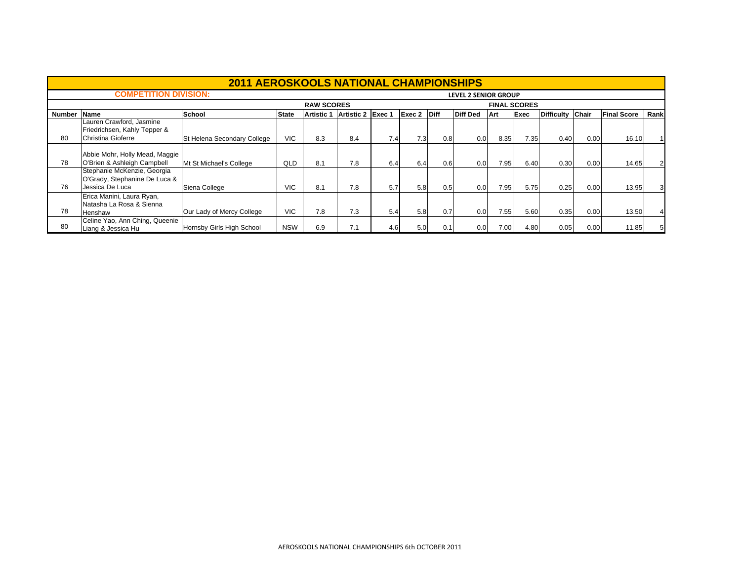|               |                                                                                 | <b>2011 AEROSKOOLS NATIONAL CHAMPIONSHIPS</b> |              |            |                   |     |        |             |                 |      |      |                   |       |                    |      |
|---------------|---------------------------------------------------------------------------------|-----------------------------------------------|--------------|------------|-------------------|-----|--------|-------------|-----------------|------|------|-------------------|-------|--------------------|------|
|               | <b>COMPETITION DIVISION:</b><br><b>LEVEL 2 SENIOR GROUP</b>                     |                                               |              |            |                   |     |        |             |                 |      |      |                   |       |                    |      |
|               |                                                                                 | <b>FINAL SCORES</b>                           |              |            |                   |     |        |             |                 |      |      |                   |       |                    |      |
| <b>Number</b> | <b>Name</b>                                                                     | School                                        | <b>State</b> | Artistic 1 | Artistic 2 Exec 1 |     | Exec 2 | <b>Diff</b> | <b>Diff Ded</b> | Art  | Exec | <b>Difficulty</b> | Chair | <b>Final Score</b> | Rank |
|               | Lauren Crawford, Jasmine<br>Friedrichsen, Kahly Tepper &                        |                                               |              |            |                   |     |        |             |                 |      |      |                   |       |                    |      |
| 80            | Christina Gioferre                                                              | St Helena Secondary College                   | VIC.         | 8.3        | 8.4               | 7.4 | 7.3    | 0.8         | 0.0             | 8.35 | 7.35 | 0.40              | 0.00  | 16.10              |      |
| 78            | Abbie Mohr, Holly Mead, Maggie<br>O'Brien & Ashleigh Campbell                   | Mt St Michael's College                       | QLD          | 8.1        | 7.8               | 6.4 | 6.4    | 0.6         | 0.0             | 7.95 | 6.40 | 0.30              | 0.00  | 14.65              |      |
| 76            | Stephanie McKenzie, Georgia<br>O'Grady, Stephanine De Luca &<br>Jessica De Luca | Siena College                                 | <b>VIC</b>   | 8.1        | 7.8               | 5.7 | 5.8    | 0.5         | 0.0             | 7.95 | 5.75 | 0.25              | 0.00  | 13.95              | 31   |
| 78            | Erica Manini, Laura Ryan,<br>Natasha La Rosa & Sienna<br>Henshaw                | Our Lady of Mercy College                     | <b>VIC</b>   | 7.8        | 7.3               | 5.4 | 5.8    | 0.7         | 0.0             | 7.55 | 5.60 | 0.35              | 0.00  | 13.50              |      |
| 80            | Celine Yao, Ann Ching, Queenie<br>Liang & Jessica Hu                            | Hornsby Girls High School                     | <b>NSW</b>   | 6.9        | 7.1               | 4.6 | 5.0    | 0.1         | 0.0             | 7.00 | 4.80 | 0.05              | 0.00  | 11.85              | 51   |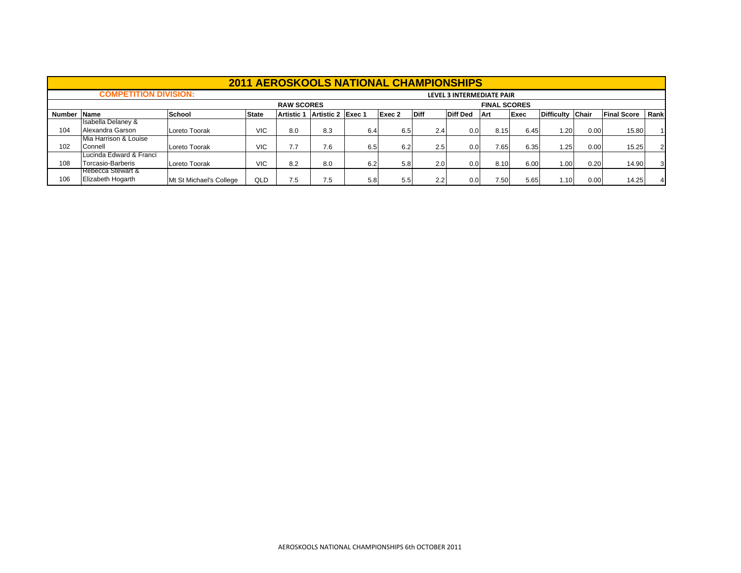|             | <b>2011 AEROSKOOLS NATIONAL CHAMPIONSHIPS</b> |                         |                           |                   |                   |     |        |                  |                 |      |      |                  |      |                    |      |
|-------------|-----------------------------------------------|-------------------------|---------------------------|-------------------|-------------------|-----|--------|------------------|-----------------|------|------|------------------|------|--------------------|------|
|             | <b>COMPETITION DIVISION:</b>                  |                         | LEVEL 3 INTERMEDIATE PAIR |                   |                   |     |        |                  |                 |      |      |                  |      |                    |      |
|             |                                               | <b>FINAL SCORES</b>     |                           |                   |                   |     |        |                  |                 |      |      |                  |      |                    |      |
| Number Name |                                               | School                  | <b>State</b>              | <b>Artistic 1</b> | Artistic 2 Exec 1 |     | Exec 2 | <b>Diff</b>      | <b>Diff Ded</b> | Art  | Exec | Difficulty Chair |      | <b>Final Score</b> | Rank |
|             | <b>Isabella Delaney &amp;</b>                 |                         |                           |                   |                   |     |        |                  |                 |      |      |                  |      |                    |      |
| 104         | Alexandra Garson                              | Loreto Toorak           | <b>VIC</b>                | 8.0               | 8.3               | 6.4 | 6.5    | 2.4              | 0.0             | 8.15 | 6.45 | 1.20             | 0.00 | 15.80              |      |
|             | Mia Harrison & Louise                         |                         |                           |                   |                   |     |        |                  |                 |      |      |                  |      |                    |      |
| 102         | Connell                                       | Loreto Toorak           | <b>VIC</b>                | 77                | 7.6               | 6.5 | 6.2    | 2.5              | 0.0             | 7.65 | 6.35 | 1.25             | 0.00 | 15.25              |      |
|             | Lucinda Edward & Franci                       |                         |                           |                   |                   |     |        |                  |                 |      |      |                  |      |                    |      |
| 108         | Torcasio-Barberis                             | Loreto Toorak           | <b>VIC</b>                | 8.2               | 8.0               | 6.2 | 5.8    | 2.0 <sub>1</sub> | 0.0             | 8.10 | 6.00 | 1.00             | 0.20 | 14.90              | 3    |
|             | Rebecca Stewart &                             |                         |                           |                   |                   |     |        |                  |                 |      |      |                  |      |                    |      |
| 106         | Elizabeth Hogarth                             | Mt St Michael's College | QLD                       | 7.5               | 7.5               | 5.8 | 5.5    | 2.2              | 0.0             | 7.50 | 5.65 | 1.10             | 0.00 | 14.25              |      |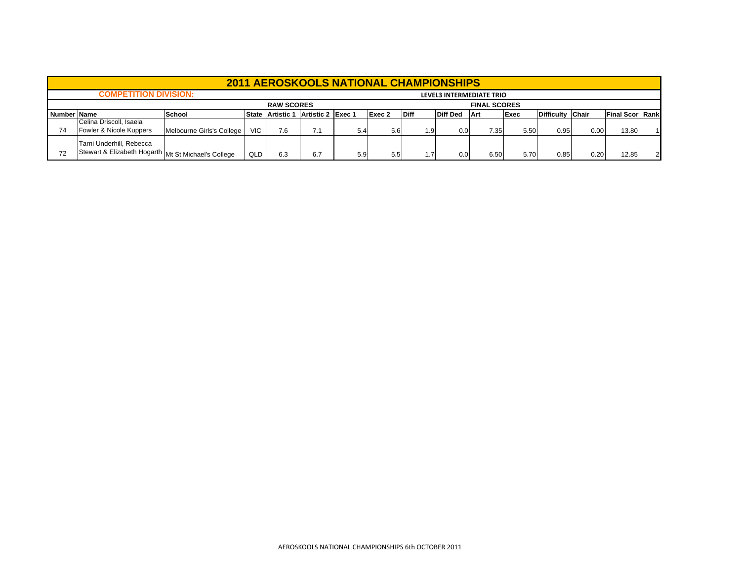|             | <b>2011 AEROSKOOLS NATIONAL CHAMPIONSHIPS</b>                                   |                           |                          |                   |                   |                     |        |             |                 |            |      |                  |      |                         |  |  |  |  |
|-------------|---------------------------------------------------------------------------------|---------------------------|--------------------------|-------------------|-------------------|---------------------|--------|-------------|-----------------|------------|------|------------------|------|-------------------------|--|--|--|--|
|             | <b>COMPETITION DIVISION:</b>                                                    |                           | LEVEL3 INTERMEDIATE TRIO |                   |                   |                     |        |             |                 |            |      |                  |      |                         |  |  |  |  |
|             |                                                                                 |                           |                          | <b>RAW SCORES</b> |                   | <b>FINAL SCORES</b> |        |             |                 |            |      |                  |      |                         |  |  |  |  |
| Number Name |                                                                                 | School                    |                          | State Artistic 1  | Artistic 2 Exec 1 |                     | Exec 2 | <b>Diff</b> | <b>Diff Ded</b> | <b>Art</b> | Exec | Difficulty Chair |      | <b>Final Score Rank</b> |  |  |  |  |
| 74          | Celina Driscoll, Isaela<br>Fowler & Nicole Kuppers                              | Melbourne Girls's College | <b>VIC</b>               | 7.6               | 71                | 5.4                 | 5.6    | 1.9         | 0.0             | 7.35       | 5.50 | 0.95             | 0.00 | 13.80                   |  |  |  |  |
| 72          | Tarni Underhill, Rebecca<br>Stewart & Elizabeth Hogarth Mt St Michael's College |                           | QLD                      | 6.3               | 6.7               | 5.9                 | 5.5    | 1.7         | 0.0             | 6.50       | 5.70 | 0.85             | 0.20 | 12.85                   |  |  |  |  |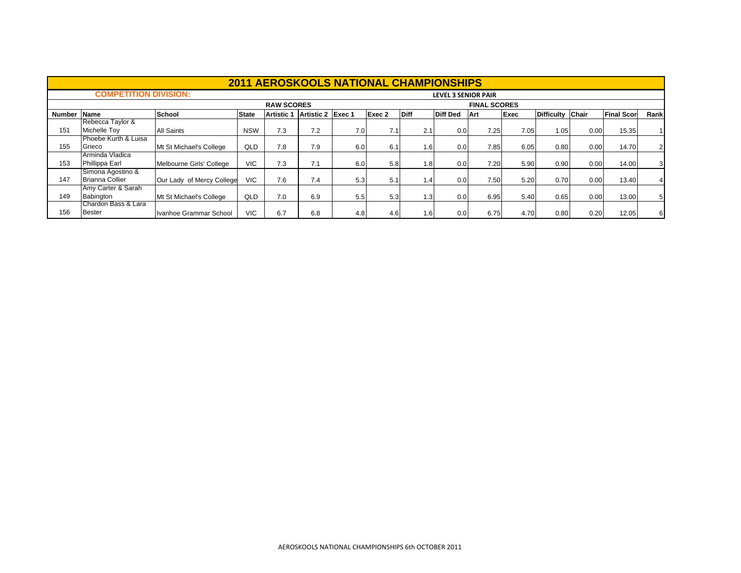|        | <b>2011 AEROSKOOLS NATIONAL CHAMPIONSHIPS</b> |                           |                            |            |                   |     |        |             |                 |      |      |                  |      |                   |                |
|--------|-----------------------------------------------|---------------------------|----------------------------|------------|-------------------|-----|--------|-------------|-----------------|------|------|------------------|------|-------------------|----------------|
|        | <b>COMPETITION DIVISION:</b>                  |                           | <b>LEVEL 3 SENIOR PAIR</b> |            |                   |     |        |             |                 |      |      |                  |      |                   |                |
|        |                                               |                           | <b>FINAL SCORES</b>        |            |                   |     |        |             |                 |      |      |                  |      |                   |                |
| Number | <b>Name</b>                                   | School                    | <b>State</b>               | Artistic 1 | Artistic 2 Exec 1 |     | Exec 2 | <b>Diff</b> | <b>Diff Ded</b> | Art  | Exec | Difficulty Chair |      | <b>Final Scor</b> | Rank           |
| 151    | Rebecca Taylor &<br>Michelle Tov              | All Saints                | <b>NSW</b>                 | 7.3        | 7.2               | 7.0 | 7.1    | 2.1         | 0.0             | 7.25 | 7.05 | 1.05             | 0.00 | 15.35             |                |
| 155    | Phoebe Kurth & Luisa<br>Grieco                | Mt St Michael's College   | QLD                        | 7.8        | 7.9               | 6.0 | 6.1    | 1.6         | 0.0             | 7.85 | 6.05 | 0.80             | 0.00 | 14.70             | 2 <sup>1</sup> |
| 153    | Arminda Vladica<br>Phillippa Earl             | Melbourne Girls' College  | <b>VIC</b>                 | 7.3        | 7.1               | 6.0 | 5.8    | 1.8         | 0.0             | 7.20 | 5.90 | 0.90             | 0.00 | 14.00             | 3              |
| 147    | Simona Agostino &<br><b>Brianna Collier</b>   | Our Lady of Mercy College | <b>VIC</b>                 | 7.6        | 7.4               | 5.3 | 5.1    | 1.4         | 0.0             | 7.50 | 5.20 | 0.70             | 0.00 | 13.40             |                |
| 149    | Amy Carter & Sarah<br>Babington               | Mt St Michael's College   | QLD                        | 7.0        | 6.9               | 5.5 | 5.3    | 1.3         | 0.0             | 6.95 | 5.40 | 0.65             | 0.00 | 13.00             | 5              |
| 156    | Chardon Bass & Lara<br>Bester                 | Ivanhoe Grammar School    | <b>VIC</b>                 | 6.7        | 6.8               | 4.8 | 4.6    | 1.6         | 0.0             | 6.75 | 4.70 | 0.80             | 0.20 | 12.05             | 6              |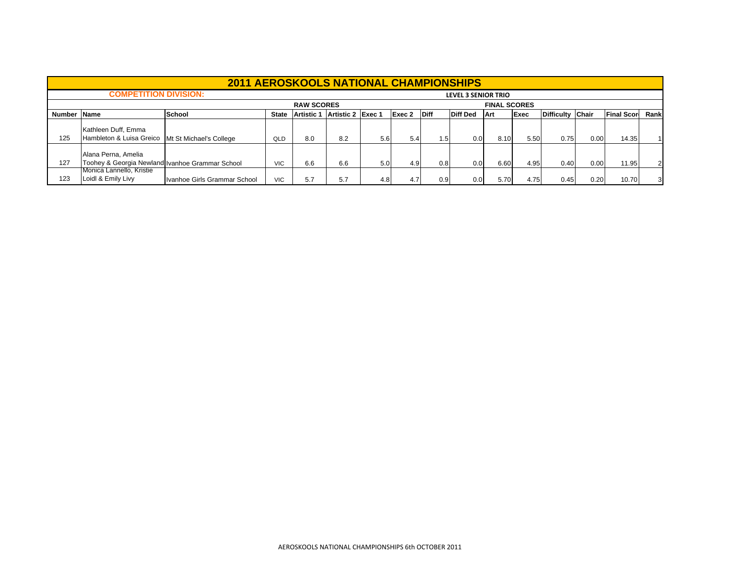|        | <b>2011 AEROSKOOLS NATIONAL CHAMPIONSHIPS</b>                             |                              |              |                                          |                   |     |        |             |                 |            |      |                  |      |                    |                |  |  |
|--------|---------------------------------------------------------------------------|------------------------------|--------------|------------------------------------------|-------------------|-----|--------|-------------|-----------------|------------|------|------------------|------|--------------------|----------------|--|--|
|        | <b>COMPETITION DIVISION:</b>                                              |                              |              | <b>LEVEL 3 SENIOR TRIO</b>               |                   |     |        |             |                 |            |      |                  |      |                    |                |  |  |
|        |                                                                           |                              |              | <b>RAW SCORES</b><br><b>FINAL SCORES</b> |                   |     |        |             |                 |            |      |                  |      |                    |                |  |  |
| Number | <b>Name</b>                                                               | School                       | <b>State</b> | Artistic 1                               | Artistic 2 Exec 1 |     | Exec 2 | <b>Diff</b> | <b>Diff Ded</b> | <b>Art</b> | Exec | Difficulty Chair |      | <b>Final Score</b> | Rank           |  |  |
| 125    | Kathleen Duff, Emma<br>Hambleton & Luisa Greico   Mt St Michael's College |                              | QLD          | 8.0                                      | 8.2               | 5.6 | 5.4    | 1.5 I       | 0.0             | 8.10       | 5.50 | 0.75             | 0.00 | 14.35              |                |  |  |
| 127    | Alana Perna, Amelia<br>Toohey & Georgia Newland Ivanhoe Grammar School    |                              | <b>VIC</b>   | 6.6                                      | 6.6               | 5.0 | 4.9    | 0.8         | 0.0             | 6.60       | 4.95 | 0.40             | 0.00 | 11.95              | $\overline{2}$ |  |  |
| 123    | Monica Lannello, Kristie<br>Loidl & Emily Livy                            | Ivanhoe Girls Grammar School | <b>VIC</b>   | 5.7                                      | 5.7               | 4.8 | 4.7    | 0.9         | 0.0             | 5.70       | 4.75 | 0.45             | 0.20 | 10.70              |                |  |  |